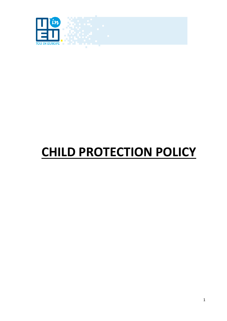

# **CHILD PROTECTION POLICY**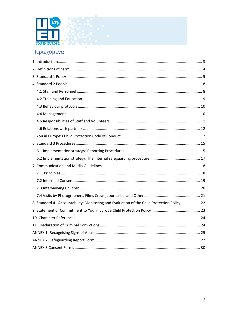

# Περιεχόμενα

| 8. Standard 4 - Accountability: Monitoring and Evaluation of the Child Protection Policy  22 |  |
|----------------------------------------------------------------------------------------------|--|
|                                                                                              |  |
|                                                                                              |  |
|                                                                                              |  |
|                                                                                              |  |
|                                                                                              |  |
|                                                                                              |  |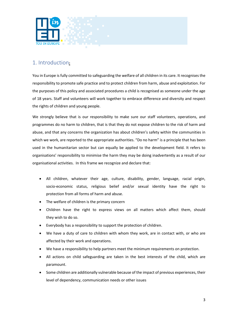

# <span id="page-2-0"></span>1. Introduction**:**

You in Europe is fully committed to safeguarding the welfare of all children in its care. It recognises the responsibility to promote safe practice and to protect children from harm, abuse and exploitation. For the purposes of this policy and associated procedures a child is recognised as someone under the age of 18 years. Staff and volunteers will work together to embrace difference and diversity and respect the rights of children and young people.

We strongly believe that is our responsibility to make sure our staff volunteers, operations, and programmes do no harm to children, that is that they do not expose children to the risk of harm and abuse, and that any concerns the organization has about children's safety within the communities in which we work, are reported to the appropriate authorities. "Do no harm" is a principle that has been used in the humanitarian sector but can equally be applied to the development field. It refers to organisations' responsibility to minimise the harm they may be doing inadvertently as a result of our organisational activities. In this frame we recognize and declare that:

- All children, whatever their age, culture, disability, gender, language, racial origin, socio-economic status, religious belief and/or sexual identity have the right to protection from all forms of harm and abuse.
- The welfare of children is the primary concern
- Children have the right to express views on all matters which affect them, should they wish to do so.
- Everybody has a responsibility to support the protection of children.
- We have a duty of care to children with whom they work, are in contact with, or who are affected by their work and operations.
- We have a responsibility to help partners meet the minimum requirements on protection.
- All actions on child safeguarding are taken in the best interests of the child, which are paramount.
- Some children are additionally vulnerable because of the impact of previous experiences, their level of dependency, communication needs or other issues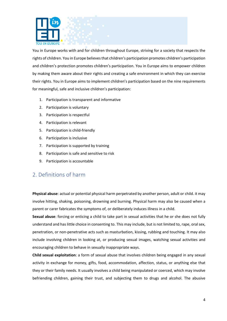

You in Europe works with and for children throughout Europe, striving for a society that respects the rights of children. You in Europe believesthat children's participation promotes children's participation and children's protection promotes children's participation. You in Europe aims to empower children by making them aware about their rights and creating a safe environment in which they can exercise their rights. You in Europe aims to implement children's participation based on the nine requirements for meaningful, safe and inclusive children's participation:

- 1. Participation is transparent and informative
- 2. Participation is voluntary
- 3. Participation is respectful
- 4. Participation is relevant
- 5. Participation is child-friendly
- 6. Participation is inclusive
- 7. Participation is supported by training
- 8. Participation is safe and sensitive to risk
- 9. Participation is accountable

## <span id="page-3-0"></span>2. Definitions of harm

**Physical abuse**: actual or potential physical harm perpetrated by another person, adult or child. it may involve hitting, shaking, poisoning, drowning and burning. Physical harm may also be caused when a parent or carer fabricates the symptoms of, or deliberately induces illness in a child.

**Sexual abuse**: forcing or enticing a child to take part in sexual activities that he or she does not fully understand and has little choice in consenting to. This may include, but is not limited to, rape, oral sex, penetration, or non-penetrative acts such as masturbation, kissing, rubbing and touching. It may also include involving children in looking at, or producing sexual images, watching sexual activities and encouraging children to behave in sexually inappropriate ways.

**Child sexual exploitation**: a form of sexual abuse that involves children being engaged in any sexual activity in exchange for money, gifts, food, accommodation, affection, status, or anything else that they or their family needs. It usually involves a child being manipulated or coerced, which may involve befriending children, gaining their trust, and subjecting them to drugs and alcohol. The abusive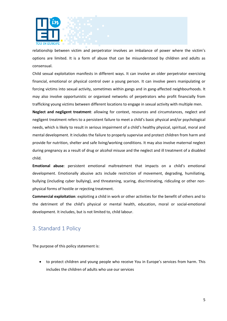

relationship between victim and perpetrator involves an imbalance of power where the victim's options are limited. It is a form of abuse that can be misunderstood by children and adults as consensual.

Child sexual exploitation manifests in different ways. It can involve an older perpetrator exercising financial, emotional or physical control over a young person. It can involve peers manipulating or forcing victims into sexual activity, sometimes within gangs and in gang-affected neighbourhoods. It may also involve opportunistic or organised networks of perpetrators who profit financially from trafficking young victims between different locations to engage in sexual activity with multiple men.

**Neglect and negligent treatment**: allowing for context, resources and circumstances, neglect and negligent treatment refers to a persistent failure to meet a child's basic physical and/or psychological needs, which is likely to result in serious impairment of a child's healthy physical, spiritual, moral and mental development. It includes the failure to properly supervise and protect children from harm and provide for nutrition, shelter and safe living/working conditions. It may also involve maternal neglect during pregnancy as a result of drug or alcohol misuse and the neglect and ill treatment of a disabled child.

**Emotional abuse**: persistent emotional maltreatment that impacts on a child's emotional development. Emotionally abusive acts include restriction of movement, degrading, humiliating, bullying (including cyber bullying), and threatening, scaring, discriminating, ridiculing or other nonphysical forms of hostile or rejecting treatment.

**Commercial exploitation**: exploiting a child in work or other activities for the benefit of others and to the detriment of the child's physical or mental health, education, moral or social-emotional development. It includes, but is not limited to, child labour.

## <span id="page-4-0"></span>3. Standard 1 Policy

The purpose of this policy statement is:

• to protect children and young people who receive You in Europe's services from harm. This includes the children of adults who use our services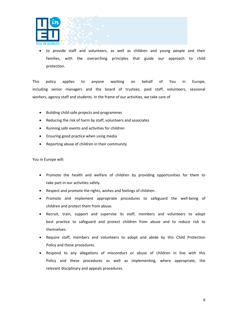

• to provide staff and volunteers, as well as children and young people and their families, with the overarching principles that guide our approach to child protection.

This policy applies to anyone working on behalf of You in Europe, including senior managers and the board of trustees, paid staff, volunteers, sessional workers, agency staff and students. In the frame of our activities, we take care of

- Building child-safe projects and programmes
- Reducing the risk of harm by staff, volunteers and associates
- Running safe events and activities for children
- Ensuring good practice when using media
- Reporting abuse of children in their community

You in Europe will:

- Promote the health and welfare of children by providing opportunities for them to take part in our activities safely.
- Respect and promote the rights, wishes and feelings of children.
- Promote and implement appropriate procedures to safeguard the well-being of children and protect them from abuse.
- Recruit, train, support and supervise its staff, members and volunteers to adopt best practice to safeguard and protect children from abuse and to reduce risk to themselves.
- Require staff, members and volunteers to adopt and abide by this Child Protection Policy and these procedures.
- Respond to any allegations of misconduct or abuse of children in line with this Policy and these procedures as well as implementing, where appropriate, the relevant disciplinary and appeals procedures.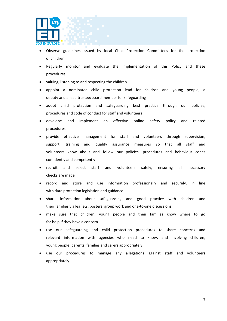

- Observe guidelines issued by local Child Protection Committees for the protection of children.
- Regularly monitor and evaluate the implementation of this Policy and these procedures.
- valuing, listening to and respecting the children
- appoint a nominated child protection lead for children and young people, a deputy and a lead trustee/board member for safeguarding
- adopt child protection and safeguarding best practice through our policies, procedures and code of conduct for staff and volunteers
- develope and implement an effective online safety policy and related procedures
- provide effective management for staff and volunteers through supervision, support, training and quality assurance measures so that all staff and volunteers know about and follow our policies, procedures and behaviour codes confidently and competently
- recruit and select staff and volunteers safely, ensuring all necessary checks are made
- record and store and use information professionally and securely, in line with data protection legislation and guidance
- share information about safeguarding and good practice with children and their families via leaflets, posters, group work and one-to-one discussions
- make sure that children, young people and their families know where to go for help if they have a concern
- use our safeguarding and child protection procedures to share concerns and relevant information with agencies who need to know, and involving children, young people, parents, families and carers appropriately
- use our procedures to manage any allegations against staff and volunteers appropriately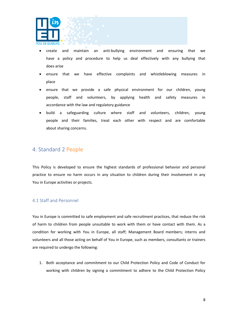

- create and maintain an anti-bullying environment and ensuring that we have a policy and procedure to help us deal effectively with any bullying that does arise
- ensure that we have effective complaints and whistleblowing measures in place
- ensure that we provide a safe physical environment for our children, young people, staff and volunteers, by applying health and safety measures in accordance with the law and regulatory guidance
- build a safeguarding culture where staff and volunteers, children, young people and their families, treat each other with respect and are comfortable about sharing concerns.

## <span id="page-7-0"></span>4. Standard 2 People

This Policy is developed to ensure the highest standards of professional behavior and personal practice to ensure no harm occurs in any situation to children during their involvement in any You in Europe activities or projects.

## <span id="page-7-1"></span>4.1 Staff and Personnel

You in Europe is committed to safe employment and safe recruitment practices, that reduce the risk of harm to children from people unsuitable to work with them or have contact with them. As a condition for working with You in Europe, all staff; Management Board members; interns and volunteers and all those acting on behalf of You in Europe, such as members, consultants or trainers are required to undergo the following:

1. Both acceptance and commitment to our Child Protection Policy and Code of Conduct for working with children by signing a commitment to adhere to the Child Protection Policy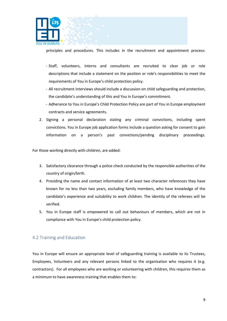

principles and procedures. This includes in the recruitment and appointment process:

- Staff, volunteers, interns and consultants are recruited to clear job or role descriptions that include a statement on the position or role's responsibilities to meet the requirements of You in Europe's child protection policy.
- All recruitment interviews should include a discussion on child safeguarding and protection, the candidate's understanding of this and You in Europe's commitment.
- Adherance to You in Europe's Child Protection Policy are part of You in Europe employment contracts and service agreements.
- 2. Signing a personal declaration stating any criminal convictions, including spent convictions. You in Europe job application forms include a question asking for consent to gain information on a person's past convictions/pending disciplinary proceedings.

For those working directly with children, are added:

- 3. Satisfactory clearance through a police check conducted by the responsible authorities of the country of origin/birth.
- 4. Providing the name and contact information of at least two character references they have known for no less than two years, excluding family members, who have knowledge of the candidate's experience and suitability to work children. The identity of the referees will be verified.
- 5. You in Europe staff is empowered to call out behaviours of members, which are not in compliance with You in Europe's child protection policy.

## <span id="page-8-0"></span>4.2 Training and Education

You in Europe will ensure an appropriate level of safeguarding training is available to its Trustees, Employees, Volunteers and any relevant persons linked to the organisation who requires it (e.g. contractors). For all employees who are working or volunteering with children, this requires them as a minimum to have awareness training that enables them to: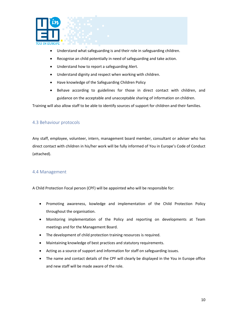

- Understand what safeguarding is and their role in safeguarding children.
- Recognise an child potentially in need of safeguarding and take action.
- Understand how to report a safeguarding Alert.
- Understand dignity and respect when working with children.
- Have knowledge of the Safeguarding Children Policy
- Behave according to guidelines for those in direct contact with children, and guidance on the acceptable and unacceptable sharing of information on children.

Training will also allow staff to be able to identify sources of support for children and their families.

## <span id="page-9-0"></span>4.3 Behaviour protocols

Any staff, employee, volunteer, intern, management board member, consultant or adviser who has direct contact with children in his/her work will be fully informed of You in Europe's Code of Conduct (attached).

## <span id="page-9-1"></span>4.4 Management

A Child Protection Focal person (CPF) will be appointed who will be responsible for:

- Promoting awareness, kowledge and implementation of the Child Protection Policy throughout the organisation.
- Monitoring implementation of the Policy and reporting on developments at Team meetings and for the Management Board.
- The development of child protection training resources is required.
- Maintaining knowledge of best practices and statutory requirements.
- Acting as a source of support and information for staff on safeguarding issues.
- The name and contact details of the CPF will clearly be displayed in the You in Europe office and new staff will be made aware of the role.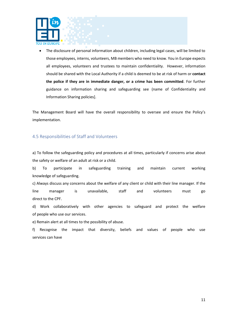

• The disclosure of personal information about children, including legal cases, will be limited to those employees, interns, volunteers, MB members who need to know. You in Europe expects all employees, volunteers and trustees to maintain confidentiality. However, information should be shared with the Local Authority if a child is deemed to be at risk of harm or **contact the police if they are in immediate danger, or a crime has been committed**. For further guidance on information sharing and safeguarding see (name of Confidentiality and Information Sharing policies].

The Management Board will have the overall responsibility to oversee and ensure the Policy's implementation.

## <span id="page-10-0"></span>4.5 Responsibilities of Staff and Volunteers

a) To follow the safeguarding policy and procedures at all times, particularly if concerns arise about the safety or welfare of an adult at risk or a child.

b) To participate in safeguarding training and maintain current working knowledge of safeguarding.

c) Always discuss any concerns about the welfare of any client or child with their line manager. If the line manager is unavailable, staff and volunteers must go direct to the CPF.

d) Work collaboratively with other agencies to safeguard and protect the welfare of people who use our services.

e) Remain alert at all times to the possibility of abuse.

f) Recognise the impact that diversity, beliefs and values of people who use services can have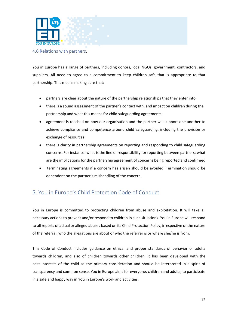

#### <span id="page-11-0"></span>4.6 Relations with partners:

You in Europe has a range of partners, including donors, local NGOs, government, contractors, and suppliers. All need to agree to a commitment to keep children safe that is appropriate to that partnership. This means making sure that:

- partners are clear about the nature of the partnership relationships that they enter into
- there is a sound assessment of the partner's contact with, and impact on children during the partnership and what this means for child safeguarding agreements
- agreement is reached on how our organisation and the partner will support one another to achieve compliance and competence around child safeguarding, including the provision or exchange of resources
- there is clarity in partnership agreements on reporting and responding to child safeguarding concerns. For instance: what is the line of responsibility for reporting between partners; what are the implications for the partnership agreement of concerns being reported and confirmed
- terminating agreements if a concern has arisen should be avoided. Termination should be dependent on the partner's mishandling of the concern.

# <span id="page-11-1"></span>5. You in Europe's Child Protection Code of Conduct

You in Europe is committed to protecting children from abuse and exploitation. It will take all necessary actions to prevent and/or respond to children in such situations. You in Europe will respond to all reports of actual or alleged abuses based on its Child Protection Policy, irrespective of the nature of the referral, who the allegations are about or who the referrer is or where she/he is from.

This Code of Conduct includes guidance on ethical and proper standards of behavior of adults towards children, and also of children towards other children. It has been developed with the best interests of the child as the primary consideration and should be interpreted in a spirit of transparency and common sense. You in Europe aims for everyone, children and adults, to participate in a safe and happy way in You in Europe's work and activities.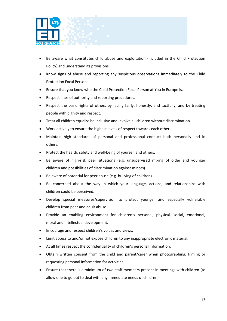

- Be aware what constitutes child abuse and exploitation (included in the Child Protection Policy) and understand its provisions.
- Know signs of abuse and reporting any suspicious observations immediately to the Child Protection Focal Person.
- Ensure that you know who the Child Protection Focal Person at You in Europe is.
- Respect lines of authority and reporting procedures.
- Respect the basic rights of others by facing fairly, honestly, and tactfully, and by treating people with dignity and respect.
- Treat all children equally: be inclusive and involve all children without discrimination.
- Work actively to ensure the highest levels of respect towards each other.
- Maintain high standards of personal and professional conduct both personally and in others.
- Protect the health, safety and well-being of yourself and others.
- Be aware of high-risk peer situations (e.g. unsupervised mixing of older and younger children and possibilities of discrimination against minors)
- Be aware of potential for peer abuse (e.g. bullying of children)
- Be concerned about the way in which your language, actions, and relationships with children could be perceived.
- Develop special measures/supervision to protect younger and especially vulnerable children from peer and adult abuse.
- Provide an enabling environment for children's personal, physical, social, emotional, moral and intellectual development.
- Encourage and respect children's voices and views.
- Limit access to and/or not expose children to any inappropriate electronic material.
- At all times respect the confidentiality of children's personal information.
- Obtain written consent from the child and parent/carer when photographing, filming or requesting personal information for activities.
- Ensure that there is a minimum of two staff members present in meetings with children (to allow one to go out to deal with any immediate needs of children).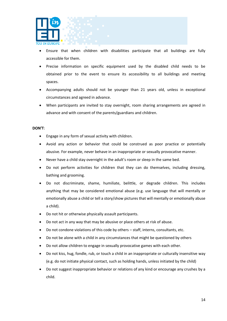

- Ensure that when children with disabilities participate that all buildings are fully accessible for them.
- Precise information on specific equipment used by the disabled child needs to be obtained prior to the event to ensure its accessibility to all buildings and meeting spaces.
- Accompanying adults should not be younger than 21 years old, unless in exceptional circumstances and agreed in advance.
- When participants are invited to stay overnight, room sharing arrangements are agreed in advance and with consent of the parents/guardians and children.

#### **DON'T**:

- Engage in any form of sexual activity with children.
- Avoid any action or behavior that could be construed as poor practice or potentially abusive. For example, never behave in an inappropriate or sexually provocative manner.
- Never have a child stay overnight in the adult's room or sleep in the same bed.
- Do not perform activities for children that they can do themselves, including dressing, bathing and grooming.
- Do not discriminate, shame, humiliate, belittle, or degrade children. This includes anything that may be considered emotional abuse (e.g. use language that will mentally or emotionally abuse a child or tell a story/show pictures that will mentally or emotionally abuse a child).
- Do not hit or otherwise physically assault participants.
- Do not act in any way that may be abusive or place others at risk of abuse.
- Do not condone violations of this code by others staff, interns, consultants, etc.
- Do not be alone with a child in any circumstances that might be questioned by others
- Do not allow children to engage in sexually provocative games with each other.
- Do not kiss, hug, fondle, rub, or touch a child in an inappropriate or culturally insensitive way (e.g. do not initiate physical contact, such as holding hands, unless initiated by the child)
- Do not suggest inappropriate behavior or relations of any kind or encourage any crushes by a child.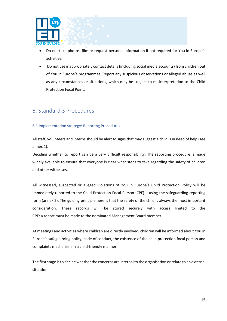

- Do not take photos, film or request personal information if not required for You in Europe's activities.
- Do not use inappropriately contact details (including social media accounts) from children out of You in Europe's programmes. Report any suspicious observations or alleged abuse as well as any circumstances or situations, which may be subject to misinterpretation to the Child Protection Focal Point.

## <span id="page-14-0"></span>6. Standard 3 Procedures

#### <span id="page-14-1"></span>6.1 Implementation strategy: Reporting Procedures

All staff, volunteers and interns should be alert to signs that may suggest a child is in need of help (see annex 1).

Deciding whether to report can be a very difficult responsibility. The reporting procedure is made widely available to ensure that everyone is clear what steps to take regarding the safety of children and other witnesses.

All witnessed, suspected or alleged violations of You in Europe's Child Protection Policy will be immediately reported to the Child Protection Focal Person (CPF) – using the safeguarding reporting form (annex 2). The guiding principle here is that the safety of the child is always the most important consideration. These records will be stored securely with access limited to the CPF; a report must be made to the nominated Management Board member.

At meetings and activities where children are directly involved, children will be informed about You in Europe's safeguarding policy, code of conduct, the existence of the child protection focal person and complaints mechanism in a child-friendly manner.

The first stage is to decide whether the concerns are internal to the organisation or relate to an external situation.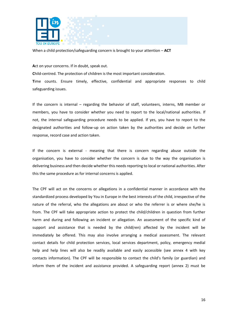

When a child protection/safeguarding concern is brought to your attention – **ACT**

**A**ct on your concerns. If in doubt, speak out.

**C**hild-centred. The protection of children is the most important consideration.

**T**ime counts. Ensure timely, effective, confidential and appropriate responses to child safeguarding issues.

If the concern is internal – regarding the behavior of staff, volunteers, interns, MB member or members, you have to consider whether you need to report to the local/national authorities. If not, the internal safeguarding procedure needs to be applied. If yes, you have to report to the designated authorities and follow-up on action taken by the authorities and decide on further response, record case and action taken.

If the concern is external - meaning that there is concern regarding abuse outside the organisation, you have to consider whether the concern is due to the way the organisation is delivering business and then decide whether this needs reporting to local or national authorities. After this the same procedure as for internal concerns is applied.

The CPF will act on the concerns or allegations in a confidential manner in accordance with the standardized process developed by You in Europe in the best interests of the child, irrespective of the nature of the referral, who the allegations are about or who the referrer is or where she/he is from. The CPF will take appropriate action to protect the child/children in question from further harm and during and following an incident or allegation. An assessment of the specific kind of support and assistance that is needed by the child(ren) affected by the incident will be immediately be offered. This may also involve arranging a medical assessment. The relevant contact details for child protection services, local services department, policy, emergency medial help and help lines will also be readily available and easily accessible (see annex 4 with key contacts information). The CPF will be responsible to contact the child's family (or guardian) and inform them of the incident and assistance provided. A safeguarding report (annex 2) must be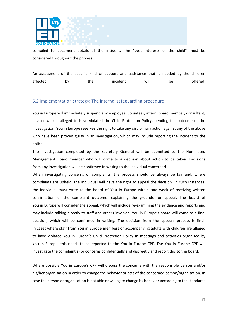

compiled to document details of the incident. The "best interests of the child" must be considered throughout the process.

An assessment of the specific kind of support and assistance that is needed by the children affected by the incident will be offered.

#### <span id="page-16-0"></span>6.2 Implementation strategy: The internal safeguarding procedure

You in Europe will immediately suspend any employee, volunteer, intern, board member, consultant, adviser who is alleged to have violated the Child Protection Policy, pending the outcome of the investigation. You in Europe reserves the right to take any disciplinary action against any of the above who have been proven guilty in an investigation, which may include reporting the incident to the police.

The investigation completed by the Secretary General will be submitted to the Nominated Management Board member who will come to a decision about action to be taken. Decisions from any investigation will be confirmed in writing to the individual concerned.

When investigating concerns or complaints, the process should be always be fair and, where complaints are upheld, the individual will have the right to appeal the decision. In such instances, the individual must write to the board of You in Europe within one week of receiving written confirmation of the complaint outcome, explaining the grounds for appeal. The board of You in Europe will consider the appeal, which will include re-examining the evidence and reports and may include talking directly to staff and others involved. You in Europe's board will come to a final decision, which will be confirmed in writing. The decision from the appeals process is final. In cases where staff from You in Europe members or accompanying adults with children are alleged to have violated You in Europe's Child Protection Policy in meetings and activities organised by You in Europe, this needs to be reported to the You in Europe CPF. The You in Europe CPF will investigate the complaint(s) or concerns confidentially and discreetly and report this to the board.

Where possible You in Europe's CPF will discuss the concerns with the responsible person and/or his/her organisation in order to change the behavior or acts of the concerned person/organisation. In case the person or organisation is not able or willing to change its behavior according to the standards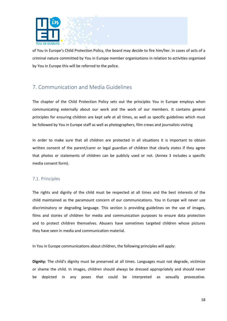

of You in Europe's Child Protection Policy, the board may decide to fire him/her. In cases of acts of a criminal nature committed by You in Europe member organisations in relation to activities organised by You in Europe this will be referred to the police.

# <span id="page-17-0"></span>7. Communication and Media Guidelines

The chapter of the Child Protection Policy sets out the principles You in Europe employs when communicating externally about our work and the work of our members. It contains general principles for ensuring children are kept safe at all times, as well as specific guidelines which must be followed by You in Europe staff as well as photographers, film crews and journalists visiting

In order to make sure that all children are protected in all situations it is important to obtain written consent of the parent/carer or legal guardian of children that clearly states if they agree that photos or statements of children can be publicly used or not. (Annex 3 includes a specific media consent form).

## <span id="page-17-1"></span>7.1. Principles

The rights and dignity of the child must be respected at all times and the best interests of the child maintained as the paramount concern of our communications. You in Europe will never use discriminatory or degrading language. This section is providing guidelines on the use of images, films and stories of children for media and communication purposes to ensure data protection and to protect children themselves. Abusers have sometimes targeted children whose pictures they have seen in media and communication material.

In You in Europe communications about children, the following principles will apply:

**Dignity:** The child's dignity must be preserved at all times. Languages must not degrade, victimize or shame the child. In images, children should always be dressed appropriately and should never be depicted in any poses that could be interpreted as sexually provocative.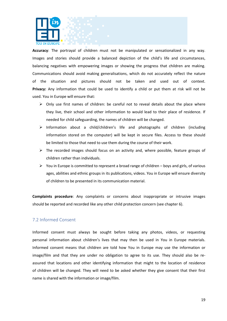

**Accuracy**: The portrayal of children must not be manipulated or sensationalized in any way. Images and stories should provide a balanced depiction of the child's life and circumstances, balancing negatives with empowering images or showing the progress that children are making. Communications should avoid making generalisations, which do not accurately reflect the nature of the situation and pictures should not be taken and used out of context. **Privacy:** Any information that could be used to identify a child or put them at risk will not be used. You in Europe will ensure that:

- $\triangleright$  Only use first names of children: be careful not to reveal details about the place where they live, their school and other information to would lead to their place of residence. If needed for child safeguarding, the names of children will be changed.
- $\triangleright$  Information about a child/children's life and photographs of children (including information stored on the computer) will be kept in secure files. Access to these should be limited to those that need to use them during the course of their work.
- $\triangleright$  The recorded images should focus on an activity and, where possible, feature groups of children rather than individuals.
- $\triangleright$  You in Europe is committed to represent a broad range of children boys and girls, of various ages, abilities and ethnic groups in its publications, videos. You in Europe will ensure diversity of children to be presented in its communication material.

**Complaints procedure**: Any complaints or concerns about inappropriate or intrusive images should be reported and recorded like any other child protection concern (see chapter 6).

#### <span id="page-18-0"></span>7.2 Informed Consent

Informed consent must always be sought before taking any photos, videos, or requesting personal information about children's lives that may then be used in You in Europe materials. Informed consent means that children are told how You in Europe may use the information or image/film and that they are under no obligation to agree to its use. They should also be reassured that locations and other identifying information that might to the location of residence of children will be changed. They will need to be asked whether they give consent that their first name is shared with the information or image/film.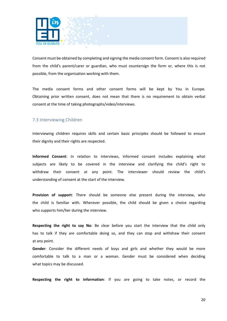

Consent must be obtained by completing and signing the media consent form. Consent is also required from the child's parent/carer or guardian, who must countersign the form or, where this is not possible, from the organisation working with them.

The media consent forms and other consent forms will be kept by You in Europe. Obtaining prior written consent, does not mean that there is no requirement to obtain verbal consent at the time of taking photographs/video/interviews.

## <span id="page-19-0"></span>7.3 Interviewing Children

Interviewing children requires skills and certain basic principles should be followed to ensure their dignity and their rights are respected.

**Informed Consent**: In relation to interviews, informed consent includes explaining what subjects are likely to be covered in the interview and clarifying the child's right to withdraw their consent at any point. The interviewer should review the child's understanding of consent at the start of the interview.

**Provision of support**: There should be someone else present during the interview, who the child is familiar with. Wherever possible, the child should be given a choice regarding who supports him/her during the interview.

**Respecting the right to say No**: Be clear before you start the interview that the child only has to talk if they are comfortable doing so, and they can stop and withdraw their consent at any point.

**Gender**: Consider the different needs of boys and girls and whether they would be more comfortable to talk to a man or a woman. Gender must be considered when deciding what topics may be discussed.

**Respecting the right to information**: If you are going to take notes, or record the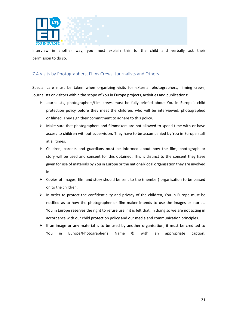

interview in another way, you must explain this to the child and verbally ask their permission to do so.

## <span id="page-20-0"></span>7.4 Visits by Photographers, Films Crews, Journalists and Others

Special care must be taken when organizing visits for external photographers, filming crews, journalists or visitors within the scope of You in Europe projects, activities and publications:

- ➢ Journalists, photographers/film crews must be fully briefed about You in Europe's child protection policy before they meet the children, who will be interviewed, photographed or filmed. They sign their commitment to adhere to this policy.
- $\triangleright$  Make sure that photographers and filmmakers are not allowed to spend time with or have access to children without supervision. They have to be accompanied by You in Europe staff at all times.
- ➢ Children, parents and guardians must be informed about how the film, photograph or story will be used and consent for this obtained. This is distinct to the consent they have given for use of materials by You in Europe or the national/local organisation they are involved in.
- $\triangleright$  Copies of images, film and story should be sent to the (member) organisation to be passed on to the children.
- $\triangleright$  In order to protect the confidentiality and privacy of the children, You in Europe must be notified as to how the photographer or film maker intends to use the images or stories. You in Europe reserves the right to refuse use if it is felt that, in doing so we are not acting in accordance with our child protection policy and our media and communication principles.
- $\triangleright$  If an image or any material is to be used by another organisation, it must be credited to You in Europe/Photographer's Name © with an appropriate caption.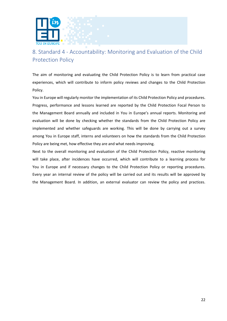

# <span id="page-21-0"></span>8. Standard 4 - Accountability: Monitoring and Evaluation of the Child Protection Policy

The aim of monitoring and evaluating the Child Protection Policy is to learn from practical case experiences, which will contribute to inform policy reviews and changes to the Child Protection Policy.

You in Europe will regularly monitor the implementation of its Child Protection Policy and procedures. Progress, performance and lessons learned are reported by the Child Protection Focal Person to the Management Board annually and included in You in Europe's annual reports. Monitoring and evaluation will be done by checking whether the standards from the Child Protection Policy are implemented and whether safeguards are working. This will be done by carrying out a survey among You in Europe staff, interns and volunteers on how the standards from the Child Protection Policy are being met, how effective they are and what needs improving.

Next to the overall monitoring and evaluation of the Child Protection Policy, reactive monitoring will take place, after incidences have occurred, which will contribute to a learning process for You in Europe and if necessary changes to the Child Protection Policy or reporting procedures. Every year an internal review of the policy will be carried out and its results will be approved by the Management Board. In addition, an external evaluator can review the policy and practices.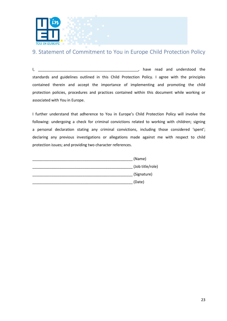

# <span id="page-22-0"></span>9. Statement of Commitment to You in Europe Child Protection Policy

I, \_\_\_\_\_\_\_\_\_\_\_\_\_\_\_\_\_\_\_\_\_\_\_\_\_\_\_\_\_\_\_\_\_\_\_\_\_\_\_\_\_\_\_\_\_\_\_\_, have read and understood the standards and guidelines outlined in this Child Protection Policy. I agree with the principles contained therein and accept the importance of implementing and promoting the child protection policies, procedures and practices contained within this document while working or associated with You in Europe.

I further understand that adherence to You in Europe's Child Protection Policy will involve the following: undergoing a check for criminal convictions related to working with children; signing a personal declaration stating any criminal convictions, including those considered 'spent'; declaring any previous investigations or allegations made against me with respect to child protection issues; and providing two character references.

| (Name)           |
|------------------|
| (Job title/role) |
| (Signature)      |
| (Date)           |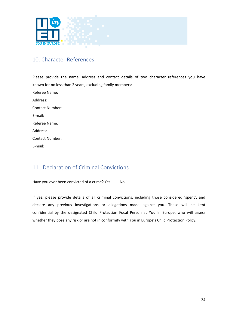

## <span id="page-23-0"></span>10. Character References

Please provide the name, address and contact details of two character references you have known for no less than 2 years, excluding family members: Referee Name: Address: Contact Number: E-mail: Referee Name: Address: Contact Number: E-mail:

# <span id="page-23-1"></span>11 . Declaration of Criminal Convictions

Have you ever been convicted of a crime? Yes \_\_\_\_ No \_\_\_\_\_

If yes, please provide details of all criminal convictions, including those considered 'spent', and declare any previous investigations or allegations made against you. These will be kept confidential by the designated Child Protection Focal Person at You in Europe, who will assess whether they pose any risk or are not in conformity with You in Europe's Child Protection Policy.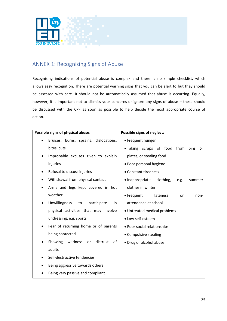

# <span id="page-24-0"></span>ANNEX 1: Recognising Signs of Abuse

Recognising indications of potential abuse is complex and there is no simple checklist, which allows easy recognition. There are potential warning signs that you can be alert to but they should be assessed with care. It should not be automatically assumed that abuse is occurring. Equally, however, it is important not to dismiss your concerns or ignore any signs of abuse – these should be discussed with the CPF as soon as possible to help decide the most appropriate course of action.

|           | Possible signs of physical abuse:           | Possible signs of neglect:                             |
|-----------|---------------------------------------------|--------------------------------------------------------|
|           | Bruises, burns, sprains, dislocations,      | • Frequent hunger                                      |
|           | bites, cuts                                 | • Taking scraps of food from<br>bins<br><b>or</b>      |
| ٠         | Improbable excuses given to explain         | plates, or stealing food                               |
|           | injuries                                    | • Poor personal hygiene                                |
|           | Refusal to discuss injuries                 | • Constant tiredness                                   |
|           | Withdrawal from physical contact            | clothing,<br>$\bullet$ Inappropriate<br>e.g.<br>summer |
|           | Arms and legs kept covered in hot           | clothes in winter                                      |
|           | weather                                     | • Frequent<br>lateness<br>or<br>non-                   |
|           | Unwillingness<br>participate<br>to<br>in    | attendance at school                                   |
|           | physical activities that may involve        | • Untreated medical problems                           |
|           | undressing, e.g. sports                     | • Low self-esteem                                      |
| $\bullet$ | Fear of returning home or of parents        | • Poor social relationships                            |
|           | being contacted                             | • Compulsive stealing                                  |
|           | Showing<br>distrust<br>wariness<br>of<br>or | • Drug or alcohol abuse                                |
|           | adults                                      |                                                        |
|           | Self-destructive tendencies                 |                                                        |
|           | Being aggressive towards others             |                                                        |
|           | Being very passive and compliant            |                                                        |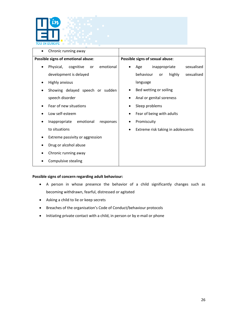

| Chronic running away                                   |                                         |
|--------------------------------------------------------|-----------------------------------------|
| Possible signs of emotional abuse:                     | Possible signs of sexual abuse:         |
| emotional<br>Physical,<br>cognitive<br>or<br>$\bullet$ | sexualised<br>inappropriate<br>Age      |
| development is delayed                                 | behaviour<br>highly<br>sexualised<br>or |
| <b>Highly anxious</b>                                  | language                                |
| Showing delayed speech or sudden                       | Bed wetting or soiling                  |
| speech disorder                                        | Anal or genital soreness                |
| Fear of new situations                                 | Sleep problems                          |
| Low self-esteem                                        | Fear of being with adults               |
| emotional<br>Inappropriate<br>responses                | Promiscuity                             |
| to situations                                          | Extreme risk taking in adolescents      |
| Extreme passivity or aggression<br>٠                   |                                         |
| Drug or alcohol abuse                                  |                                         |
| Chronic running away                                   |                                         |
| Compulsive stealing                                    |                                         |

#### **Possible signs of concern regarding adult behaviour:**

- A person in whose presence the behavior of a child significantly changes such as becoming withdrawn, fearful, distressed or agitated
- Asking a child to lie or keep secrets
- Breaches of the organisation's Code of Conduct/behaviour protocols
- Initiating private contact with a child, in person or by e-mail or phone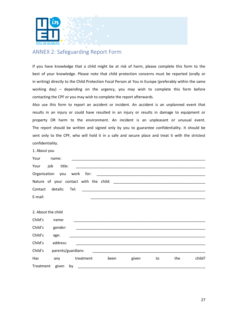

## <span id="page-26-0"></span>ANNEX 2: Safeguarding Report Form

If you have knowledge that a child might be at risk of harm, please complete this form to the best of your knowledge. Please note that child protection concerns must be reported (orally or in writing) directly to the Child Protection Focal Person at You in Europe (preferably within the same working day) – depending on the urgency, you may wish to complete this form before contacting the CPF or you may wish to complete the report afterwards.

Also use this form to report an accident or incident. An accident is an unplanned event that results in an injury or could have resulted in an injury or results in damage to equipment or property OR harm to the environment. An incident is an unpleasant or unusual event. The report should be written and signed only by you to guarantee confidentiality. It should be sent only to the CPF, who will hold it in a safe and secure place and treat it with the strictest confidentiality.

1. About you

| Your               | name:              |           |                                                                                                                       |       |    |     |        |
|--------------------|--------------------|-----------|-----------------------------------------------------------------------------------------------------------------------|-------|----|-----|--------|
| Your<br>job        | title:             |           |                                                                                                                       |       |    |     |        |
| Organisation you   |                    | work for: |                                                                                                                       |       |    |     |        |
|                    |                    |           |                                                                                                                       |       |    |     |        |
| Contact            | details:<br>Tel:   |           | <u> 2000 - Jan James James James James James James James James James James James James James James James James J</u>  |       |    |     |        |
| E-mail:            |                    |           | <u> La construcción de la construcción de la construcción de la construcción de la construcción de la construcció</u> |       |    |     |        |
|                    |                    |           |                                                                                                                       |       |    |     |        |
| 2. About the child |                    |           |                                                                                                                       |       |    |     |        |
| Child's            | name:              |           |                                                                                                                       |       |    |     |        |
| Child's            | gender:            |           |                                                                                                                       |       |    |     |        |
| Child's            | age:               |           |                                                                                                                       |       |    |     |        |
| Child's            | address:           |           | <u> 1989 - Johann Stoff, amerikansk politiker (d. 1989)</u>                                                           |       |    |     |        |
| Child's            | parents/guardians: |           |                                                                                                                       |       |    |     |        |
| Has                | any                | treatment | been                                                                                                                  | given | to | the | child? |
| Treatment given by |                    |           |                                                                                                                       |       |    |     |        |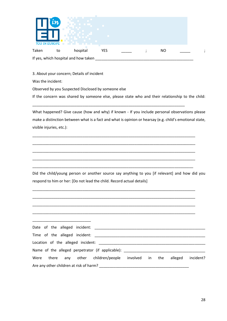| YOU IN EL | โทโ |                                      |            |  |           |   |
|-----------|-----|--------------------------------------|------------|--|-----------|---|
| Taken     | to  | hospital                             | <b>YES</b> |  | <b>NO</b> | ٠ |
|           |     | If yes, which hospital and how taken |            |  |           |   |

3. About your concern; Details of incident

Was the incident:

Observed by you Suspected Disclosed by someone else

If the concern was shared by someone else, please state who and their relationship to the child:

\_\_\_\_\_\_\_\_\_\_\_\_\_\_\_\_\_\_\_\_\_\_\_\_\_\_\_\_\_\_\_\_\_\_\_\_\_\_\_\_\_\_\_\_\_\_\_\_\_\_\_\_\_\_\_\_\_\_\_\_\_\_\_\_\_\_\_\_\_\_\_\_\_

What happened? Give cause (how and why) if known - If you include personal observations please make a distinction between what is a fact and what is opinion or hearsay (e.g. child's emotional state, visible injuries, etc.):

\_\_\_\_\_\_\_\_\_\_\_\_\_\_\_\_\_\_\_\_\_\_\_\_\_\_\_\_\_\_\_\_\_\_\_\_\_\_\_\_\_\_\_\_\_\_\_\_\_\_\_\_\_\_\_\_\_\_\_\_\_\_\_\_\_\_\_\_\_\_\_\_\_\_\_\_\_\_

\_\_\_\_\_\_\_\_\_\_\_\_\_\_\_\_\_\_\_\_\_\_\_\_\_\_\_\_\_\_\_\_\_\_\_\_\_\_\_\_\_\_\_\_\_\_\_\_\_\_\_\_\_\_\_\_\_\_\_\_\_\_\_\_\_\_\_\_\_\_\_\_\_\_\_\_\_\_

\_\_\_\_\_\_\_\_\_\_\_\_\_\_\_\_\_\_\_\_\_\_\_\_\_\_\_\_\_\_\_\_\_\_\_\_\_\_\_\_\_\_\_\_\_\_\_\_\_\_\_\_\_\_\_\_\_\_\_\_\_\_\_\_\_\_\_\_\_\_\_\_\_\_\_\_\_\_

\_\_\_\_\_\_\_\_\_\_\_\_\_\_\_\_\_\_\_\_\_\_\_\_\_\_\_\_\_\_\_\_\_\_\_\_\_\_\_\_\_\_\_\_\_\_\_\_\_\_\_\_\_\_\_\_\_\_\_\_\_\_\_\_\_\_\_\_\_\_\_\_\_\_\_\_\_\_

\_\_\_\_\_\_\_\_\_\_\_\_\_\_\_\_\_\_\_\_\_\_\_\_\_\_\_\_\_\_\_\_\_\_\_\_\_\_\_\_\_\_\_\_\_\_\_\_\_\_\_\_\_\_\_\_\_\_\_\_\_\_\_\_\_\_\_\_\_\_\_\_\_\_\_\_\_

\_\_\_\_\_\_\_\_\_\_\_\_\_\_\_\_\_\_\_\_\_\_\_\_\_\_\_\_\_\_\_\_\_\_\_\_\_\_\_\_\_\_\_\_\_\_\_\_\_\_\_\_\_\_\_\_\_\_\_\_\_\_\_\_\_\_\_\_\_\_\_\_\_\_\_\_\_\_

\_\_\_\_\_\_\_\_\_\_\_\_\_\_\_\_\_\_\_\_\_\_\_\_\_\_\_\_\_\_\_\_\_\_\_\_\_\_\_\_\_\_\_\_\_\_\_\_\_\_\_\_\_\_\_\_\_\_\_\_\_\_\_\_\_\_\_\_\_\_\_\_\_\_\_\_\_\_

\_\_\_\_\_\_\_\_\_\_\_\_\_\_\_\_\_\_\_\_\_\_\_\_\_\_\_\_\_\_\_\_\_\_\_\_\_\_\_\_\_\_\_\_\_\_\_\_\_\_\_\_\_\_\_\_\_\_\_\_\_\_\_\_\_\_\_\_\_\_\_\_\_\_\_\_\_\_

Did the child/young person or another source say anything to you [if relevant] and how did you respond to him or her: [Do not lead the child. Record actual details]

| Name of the alleged perpetrator (if applicable): _______________________________ |  |  |  |           |
|----------------------------------------------------------------------------------|--|--|--|-----------|
| Were there any other children/people involved in the alleged                     |  |  |  | incident? |
|                                                                                  |  |  |  |           |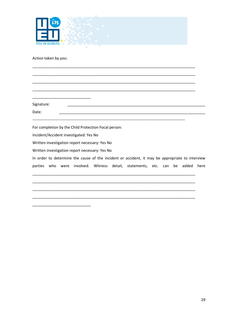

Action taken by you:

Signature:

Date: 

For completion by the Child Protection Focal person:

Incident/Accident investigated: Yes No

Written investigation report necessary: Yes No

Written investigation report necessary: Yes No

In order to determine the cause of the incident or accident, it may be appropriate to interview parties who were involved. Witness detail, statements, etc. can be added here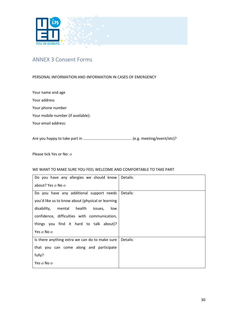

## <span id="page-29-0"></span>ANNEX 3 Consent Forms

#### PERSONAL INFORMATION AND INFORMATION IN CASES OF EMERGENCY

Your name and age Your address Your phone number Your mobile number (if available): Your email address:

Are you happy to take part in .............................................. (e.g. meeting/event/etc)?

Please tick Yes or No: o

#### WE WANT TO MAKE SURE YOU FEEL WELCOME AND COMFORTABLE TO TAKE PART

| Do you have any allergies we should know          | Details: |
|---------------------------------------------------|----------|
| about? Yes o No o                                 |          |
| Do you have any additional support needs          | Details: |
| you'd like us to know about (physical or learning |          |
| mental health<br>disability,<br>issues,<br>low    |          |
| confidence, difficulties with communication,      |          |
| things you find it hard to talk about)?           |          |
| Yes o No o                                        |          |
| Is there anything extra we can do to make sure    | Details: |
| that you can come along and participate           |          |
| fully?                                            |          |
| Yes o No o                                        |          |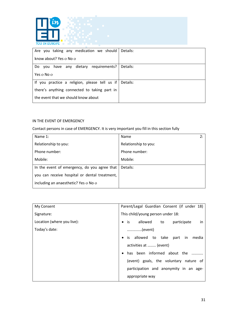

| Are you taking any medication we should       | Details: |
|-----------------------------------------------|----------|
|                                               |          |
| know about? Yes o No o                        |          |
|                                               |          |
|                                               |          |
| you have any dietary requirements?<br>Do.     | Details: |
|                                               |          |
| Yes o No o                                    |          |
|                                               |          |
|                                               |          |
| If you practice a religion, please tell us if | Details: |
|                                               |          |
| there's anything connected to taking part in  |          |
|                                               |          |
|                                               |          |
| the event that we should know about           |          |
|                                               |          |

## IN THE EVENT OF EMERGENCY

Contact persons in case of EMERGENCY. It is very important you fill in this section fully

| Name $1$ :                                    | Name<br>2:           |
|-----------------------------------------------|----------------------|
| Relationship to you:                          | Relationship to you: |
| Phone number:                                 | Phone number:        |
| Mobile:                                       | Mobile:              |
| In the event of emergency, do you agree that  | Details:             |
| you can receive hospital or dental treatment, |                      |
| including an anaesthetic? Yes o No o          |                      |

| My Consent                 | Parent/Legal Guardian Consent (if under 18)   |
|----------------------------|-----------------------------------------------|
| Signature:                 | This child/young person under 18:             |
| Location (where you live): | is allowed to participate<br>in.<br>$\bullet$ |
| Today's date:              | (event)                                       |
|                            | is allowed to take part in media<br>$\bullet$ |
|                            | activities at  (event)                        |
|                            | has been informed about the                   |
|                            | (event) goals, the voluntary nature of        |
|                            | participation and anonymity in an age-        |
|                            | appropriate way                               |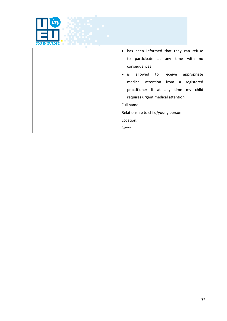| <b>YOU IN EUROPE</b> |                                                      |
|----------------------|------------------------------------------------------|
|                      | has been informed that they can refuse<br>$\bullet$  |
|                      | to participate at any time with<br>no                |
|                      | consequences                                         |
|                      | is allowed<br>to receive<br>appropriate<br>$\bullet$ |
|                      | medical attention from a<br>registered               |
|                      | practitioner if at any time my child                 |
|                      | requires urgent medical attention,                   |
|                      | Full name:                                           |
|                      | Relationship to child/young person:                  |
|                      | Location:                                            |
|                      | Date:                                                |

*CANADIA* 

**CONTRACTOR**